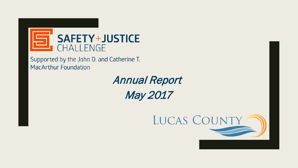

Supported by the John D. and Catherine T. **MacArthur Foundation** 

> Annual Report May 2017

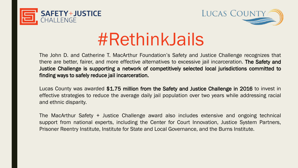



# #RethinkJails

The John D. and Catherine T. MacArthur Foundation's Safety and Justice Challenge recognizes that there are better, fairer, and more effective alternatives to excessive jail incarceration. The Safety and Justice Challenge is supporting a network of competitively selected local jurisdictions committed to finding ways to safely reduce jail incarceration.

Lucas County was awarded \$1.75 million from the Safety and Justice Challenge in 2016 to invest in effective strategies to reduce the average daily jail population over two years while addressing racial and ethnic disparity.

The MacArthur Safety + Justice Challenge award also includes extensive and ongoing technical support from national experts, including the Center for Court Innovation, Justice System Partners, Prisoner Reentry Institute, Institute for State and Local Governance, and the Burns Institute.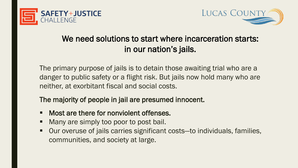



## We need solutions to start where incarceration starts: in our nation's jails.

The primary purpose of jails is to detain those awaiting trial who are a danger to public safety or a flight risk. But jails now hold many who are neither, at exorbitant fiscal and social costs.

The majority of people in jail are presumed innocent.

- Most are there for nonviolent offenses.
- Many are simply too poor to post bail.
- Our overuse of jails carries significant costs—to individuals, families, communities, and society at large.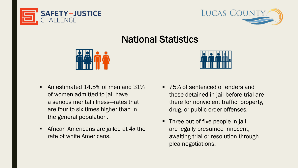



## National Statistics



- An estimated 14.5% of men and 31% of women admitted to jail have a serious mental illness—rates that are four to six times higher than in the general population.
- African Americans are jailed at 4x the rate of white Americans.



- 75% of sentenced offenders and those detained in jail before trial are there for nonviolent traffic, property, drug, or public order offenses.
- Three out of five people in jail are legally presumed innocent, awaiting trial or resolution through plea negotiations.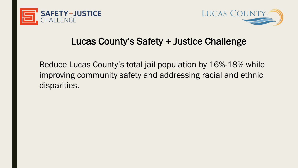



## Lucas County's Safety + Justice Challenge

Reduce Lucas County's total jail population by 16%-18% while improving community safety and addressing racial and ethnic disparities.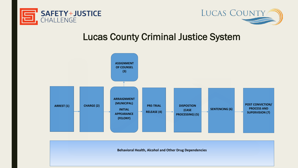



## Lucas County Criminal Justice System



**Behavioral Health, Alcohol and Other Drug Dependencies**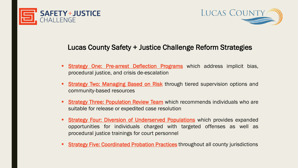



#### Lucas County Safety + Justice Challenge Reform Strategies

- **Strategy One: Pre-arrest Deflection Programs** which address implicit bias, procedural justice, and crisis de-escalation
- **Strategy Two: Managing Based on Risk through tiered supervision options and** community-based resources
- **Strategy Three: Population Review Team** which recommends individuals who are suitable for release or expedited case resolution
- **Strategy Four: Diversion of Underserved Populations** which provides expanded opportunities for individuals charged with targeted offenses as well as procedural justice trainings for court personnel
- **Strategy Five: Coordinated Probation Practices** throughout all county jurisdictions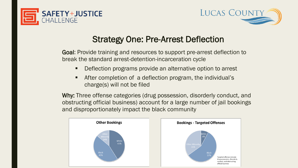



## Strategy One: Pre-Arrest Deflection

Goal: Provide training and resources to support pre-arrest deflection to break the standard arrest-detention-incarceration cycle

- Deflection programs provide an alternative option to arrest
- After completion of a deflection program, the individual's charge(s) will not be filed

Why: Three offense categories (drug possession, disorderly conduct, and obstructing official business) account for a large number of jail bookings and disproportionately impact the black community

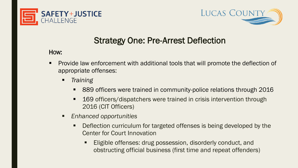



## Strategy One: Pre-Arrest Deflection

#### HOW:

- Provide law enforcement with additional tools that will promote the deflection of appropriate offenses:
	- *Training*
		- 889 officers were trained in community-police relations through 2016
		- 169 officers/dispatchers were trained in crisis intervention through 2016 (CIT Officers)
	- *Enhanced opportunities*
		- Deflection curriculum for targeted offenses is being developed by the Center for Court Innovation
			- **Eligible offenses: drug possession, disorderly conduct, and** obstructing official business (first time and repeat offenders)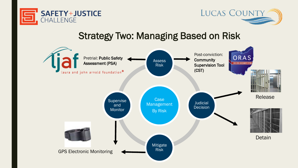



## Strategy Two: Managing Based on Risk

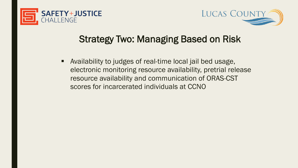



## Strategy Two: Managing Based on Risk

 Availability to judges of real-time local jail bed usage, electronic monitoring resource availability, pretrial release resource availability and communication of ORAS-CST scores for incarcerated individuals at CCNO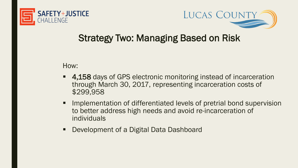



## Strategy Two: Managing Based on Risk

How:

- 4,158 days of GPS electronic monitoring instead of incarceration through March 30, 2017, representing incarceration costs of \$299,958
- Implementation of differentiated levels of pretrial bond supervision to better address high needs and avoid re-incarceration of individuals
- Development of a Digital Data Dashboard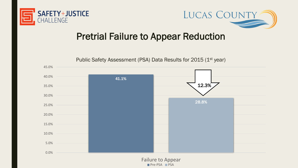



## Pretrial Failure to Appear Reduction



Failure to Appear  $\blacksquare$  Pre-PSA  $\blacksquare$  PSA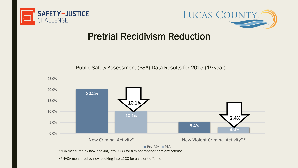



## Pretrial Recidivism Reduction



Public Safety Assessment (PSA) Data Results for 2015 (1<sup>st</sup> year)

\*\*NVCA measured by new booking into LCCC for a violent offense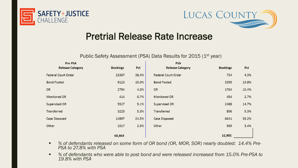



## Pretrial Release Rate Increase

Public Safety Assessment (PSA) Data Results for 2015 (1<sup>st</sup> year)

| Pre-PSA                 |                 |       | <b>PSA</b>              |                 |       |
|-------------------------|-----------------|-------|-------------------------|-----------------|-------|
| <b>Release Category</b> | <b>Bookings</b> | Pct   | <b>Release Category</b> | <b>Bookings</b> | Pct   |
| Federal Court Order     | 23367           | 38.4% | Federal Court Order     | 734             | 4.3%  |
| <b>Bond Posted</b>      | 9123            | 15.0% | <b>Bond Posted</b>      | 3359            | 19.8% |
| <b>OR</b>               | 2794            | 4.6%  | <b>OR</b>               | 1764            | 10.4% |
| Monitored OR            | 414             | 0.7%  | Monitored OR            | 454             | 2.7%  |
| Supervised OR           | 5527            | 9.1%  | Supervised OR           | 2488            | 14.7% |
| Transferred             | 3225            | 5.3%  | Transferred             | 896             | 5.3%  |
| Case Disposed           | 14897           | 24.5% | Case Disposed           | 6641            | 39.2% |
| Other                   | 1517            | 2.5%  | Other                   | 569             | 3.4%  |
|                         | 60,864          |       |                         | 16,905          |       |

- *% of defendants released on some form of OR bond (OR, MOR, SOR) nearly doubled: 14.4% Pre- PSA to 27.8% with PSA*
- % of defendants who were able to post bond and were released increased from 15.0% Pre-PSA to *19.8% with PSA*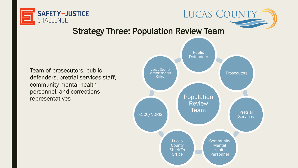

#### Strategy Three: Population Review Team

Team of prosecutors, public defenders, pretrial services staff, community mental health personnel, and corrections representatives and the contract of the contract of the contract of the contract of the population



**LUCAS COUNTY**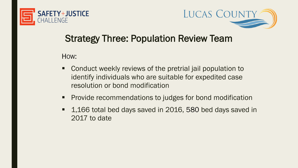



## Strategy Three: Population Review Team

HOW:

- Conduct weekly reviews of the pretrial jail population to identify individuals who are suitable for expedited case resolution or bond modification
- **Provide recommendations to judges for bond modification**
- 1,166 total bed days saved in 2016, 580 bed days saved in 2017 to date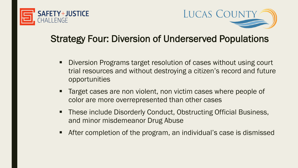



# Strategy Four: Diversion of Underserved Populations

- Diversion Programs target resolution of cases without using court trial resources and without destroying a citizen's record and future opportunities
- Target cases are non violent, non victim cases where people of color are more overrepresented than other cases
- These include Disorderly Conduct, Obstructing Official Business, and minor misdemeanor Drug Abuse
- **After completion of the program, an individual's case is dismissed**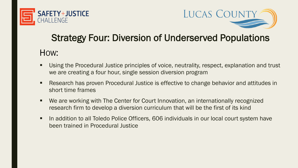



# Strategy Four: Diversion of Underserved Populations

#### HOW:

- **Using the Procedural Justice principles of voice, neutrality, respect, explanation and trust** we are creating a four hour, single session diversion program
- **Research has proven Procedural Justice is effective to change behavior and attitudes in** short time frames
- We are working with The Center for Court Innovation, an internationally recognized research firm to develop a diversion curriculum that will be the first of its kind
- In addition to all Toledo Police Officers, 606 individuals in our local court system have been trained in Procedural Justice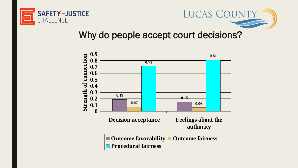



## Why do people accept court decisions?

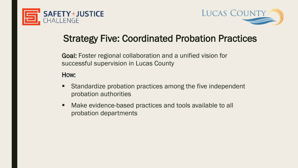



## Strategy Five: Coordinated Probation Practices

Goal: Foster regional collaboration and a unified vision for successful supervision in Lucas County

#### HOW:

- **Standardize probation practices among the five independent** probation authorities
- Make evidence-based practices and tools available to all probation departments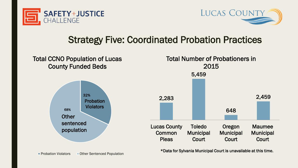



## Strategy Five: Coordinated Probation Practices



**Probation Violators Pother Sentenced Population**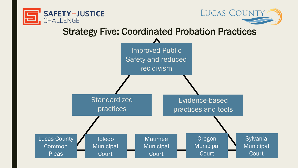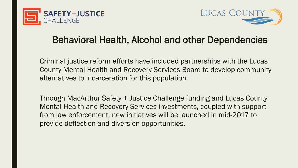



## Behavioral Health, Alcohol and other Dependencies

Criminal justice reform efforts have included partnerships with the Lucas County Mental Health and Recovery Services Board to develop community alternatives to incarceration for this population.

Through MacArthur Safety + Justice Challenge funding and Lucas County Mental Health and Recovery Services investments, coupled with support from law enforcement, new initiatives will be launched in mid-2017 to provide deflection and diversion opportunities.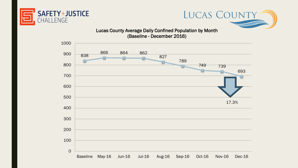



Lucas County Average Daily Confined Population by Month (Baseline - December 2016)

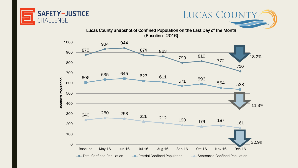



LUCAS COUNTY

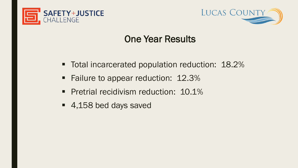



## One Year Results

- Total incarcerated population reduction: 18.2%
- Failure to appear reduction: 12.3%
- **Pretrial recidivism reduction: 10.1%**
- 4,158 bed days saved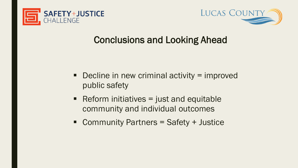



## Conclusions and Looking Ahead

- $\blacksquare$  Decline in new criminal activity = improved public safety
- Reform initiatives  $=$  just and equitable community and individual outcomes
- Community Partners = Safety + Justice